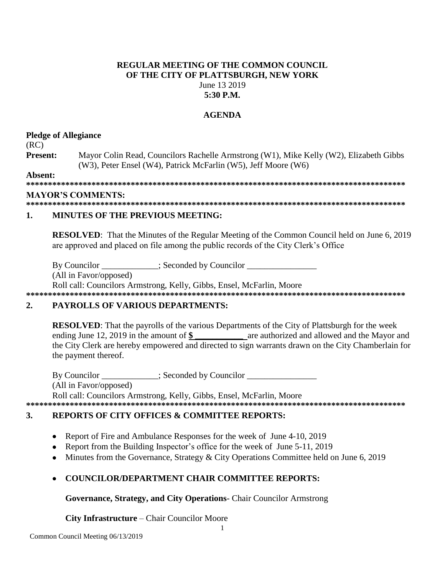### **REGULAR MEETING OF THE COMMON COUNCIL** OF THE CITY OF PLATTSBURGH, NEW YORK June 13 2019  $5:30$  P.M.

## **AGENDA**

### **Pledge of Allegiance**

 $(RC)$ 

Present: Mayor Colin Read, Councilors Rachelle Armstrong (W1), Mike Kelly (W2), Elizabeth Gibbs (W3), Peter Ensel (W4), Patrick McFarlin (W5), Jeff Moore (W6)

Absent:

### **MAYOR'S COMMENTS:**

#### $\mathbf{1}$ **MINUTES OF THE PREVIOUS MEETING:**

**RESOLVED:** That the Minutes of the Regular Meeting of the Common Council held on June 6, 2019 are approved and placed on file among the public records of the City Clerk's Office

By Councilor \_\_\_\_\_\_\_\_\_\_\_; Seconded by Councilor \_\_\_\_\_\_

(All in Favor/opposed)

Roll call: Councilors Armstrong, Kelly, Gibbs, Ensel, McFarlin, Moore 

### $2.$ **PAYROLLS OF VARIOUS DEPARTMENTS:**

**RESOLVED:** That the payrolls of the various Departments of the City of Plattsburgh for the week ending June 12, 2019 in the amount of \$ are authorized and allowed and the Mayor and the City Clerk are hereby empowered and directed to sign warrants drawn on the City Chamberlain for the payment thereof.

By Councilor : Seconded by Councilor (All in Favor/opposed) Roll call: Councilors Armstrong, Kelly, Gibbs, Ensel, McFarlin, Moore

### 

### $\mathbf{3}$ . **REPORTS OF CITY OFFICES & COMMITTEE REPORTS:**

- Report of Fire and Ambulance Responses for the week of June 4-10, 2019  $\bullet$
- Report from the Building Inspector's office for the week of June 5-11, 2019  $\bullet$
- Minutes from the Governance, Strategy & City Operations Committee held on June 6, 2019
- **COUNCILOR/DEPARTMENT CHAIR COMMITTEE REPORTS:**

Governance, Strategy, and City Operations- Chair Councilor Armstrong

City Infrastructure - Chair Councilor Moore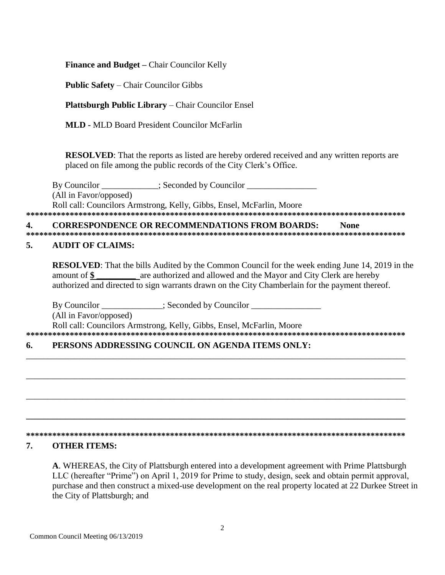**Finance and Budget – Chair Councilor Kelly** 

**Public Safety – Chair Councilor Gibbs** 

**Plattsburgh Public Library – Chair Councilor Ensel** 

**MLD** - MLD Board President Councilor McFarlin

**RESOLVED:** That the reports as listed are hereby ordered received and any written reports are placed on file among the public records of the City Clerk's Office.

 $\therefore$  Seconded by Councilor By Councilor (All in Favor/opposed) Roll call: Councilors Armstrong, Kelly, Gibbs, Ensel, McFarlin, Moore 

#### $\blacktriangle$ **CORRESPONDENCE OR RECOMMENDATIONS FROM BOARDS: None**

### 5. **AUDIT OF CLAIMS:**

**RESOLVED:** That the bills Audited by the Common Council for the week ending June 14, 2019 in the amount of \$ are authorized and allowed and the Mayor and City Clerk are hereby authorized and directed to sign warrants drawn on the City Chamberlain for the payment thereof.

By Councilor \_\_\_\_\_\_\_\_\_\_\_\_\_; Seconded by Councilor \_\_\_\_\_\_\_\_\_\_\_\_\_\_\_\_\_\_\_\_\_\_\_\_\_\_\_\_\_\_ (All in Favor/opposed) Roll call: Councilors Armstrong, Kelly, Gibbs, Ensel, McFarlin, Moore 

### 6. PERSONS ADDRESSING COUNCIL ON AGENDA ITEMS ONLY:

### 

### 7. **OTHER ITEMS:**

A. WHEREAS, the City of Plattsburgh entered into a development agreement with Prime Plattsburgh LLC (hereafter "Prime") on April 1, 2019 for Prime to study, design, seek and obtain permit approval, purchase and then construct a mixed-use development on the real property located at 22 Durkee Street in the City of Plattsburgh; and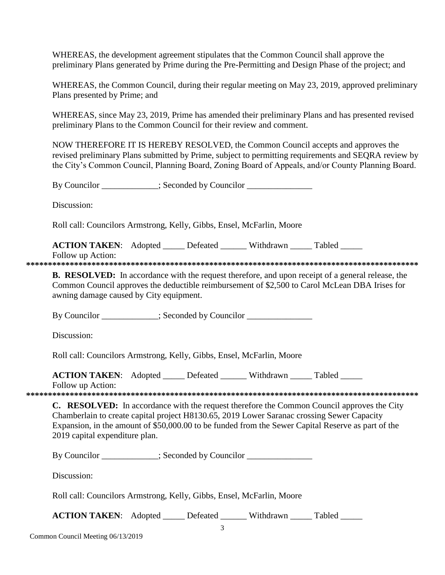WHEREAS, the development agreement stipulates that the Common Council shall approve the preliminary Plans generated by Prime during the Pre-Permitting and Design Phase of the project; and

WHEREAS, the Common Council, during their regular meeting on May 23, 2019, approved preliminary Plans presented by Prime; and

WHEREAS, since May 23, 2019, Prime has amended their preliminary Plans and has presented revised preliminary Plans to the Common Council for their review and comment.

NOW THEREFORE IT IS HEREBY RESOLVED, the Common Council accepts and approves the revised preliminary Plans submitted by Prime, subject to permitting requirements and SEQRA review by the City's Common Council, Planning Board, Zoning Board of Appeals, and/or County Planning Board.

By Councilor  $\qquad \qquad$ : Seconded by Councilor

Discussion:

Roll call: Councilors Armstrong, Kelly, Gibbs, Ensel, McFarlin, Moore

**ACTION TAKEN:** Adopted \_\_\_\_\_ Defeated \_\_\_\_\_\_ Withdrawn \_\_\_\_\_ Tabled Follow up Action:

**\*\*\*\*\*\*\*\*\*\*\*\*\*\*\*\*\*\*\*\*\*\*\*\*\*\*\*\*\*\*\*\*\*\*\*\*\*\*\*\*\*\*\*\*\*\*\*\*\*\*\*\*\*\*\*\*\*\*\*\*\*\*\*\*\*\*\*\*\*\*\*\*\*\*\*\*\*\*\*\*\*\*\*\*\*\*\*\*\*\***

**B. RESOLVED:** In accordance with the request therefore, and upon receipt of a general release, the Common Council approves the deductible reimbursement of \$2,500 to Carol McLean DBA Irises for awning damage caused by City equipment.

By Councilor \_\_\_\_\_\_\_\_\_\_; Seconded by Councilor \_\_\_\_\_\_\_\_\_\_\_\_\_\_\_\_\_\_\_\_\_\_\_\_\_\_\_\_\_\_\_\_\_

Discussion:

Roll call: Councilors Armstrong, Kelly, Gibbs, Ensel, McFarlin, Moore

| <b>ACTION TAKEN:</b> Adopted | Defeated | Withdrawn | Tabled |  |
|------------------------------|----------|-----------|--------|--|
|                              |          |           |        |  |

Follow up Action:

**\*\*\*\*\*\*\*\*\*\*\*\*\*\*\*\*\*\*\*\*\*\*\*\*\*\*\*\*\*\*\*\*\*\*\*\*\*\*\*\*\*\*\*\*\*\*\*\*\*\*\*\*\*\*\*\*\*\*\*\*\*\*\*\*\*\*\*\*\*\*\*\*\*\*\*\*\*\*\*\*\*\*\*\*\*\*\*\*\*\***

**C. RESOLVED:** In accordance with the request therefore the Common Council approves the City Chamberlain to create capital project H8130.65, 2019 Lower Saranac crossing Sewer Capacity Expansion, in the amount of \$50,000.00 to be funded from the Sewer Capital Reserve as part of the 2019 capital expenditure plan.

By Councilor \_\_\_\_\_\_\_\_\_\_; Seconded by Councilor \_\_\_\_\_\_\_\_\_\_\_\_\_\_\_\_\_\_\_\_\_\_\_\_\_\_\_\_\_\_\_\_\_

Discussion:

Roll call: Councilors Armstrong, Kelly, Gibbs, Ensel, McFarlin, Moore

**ACTION TAKEN:** Adopted Defeated Withdrawn Tabled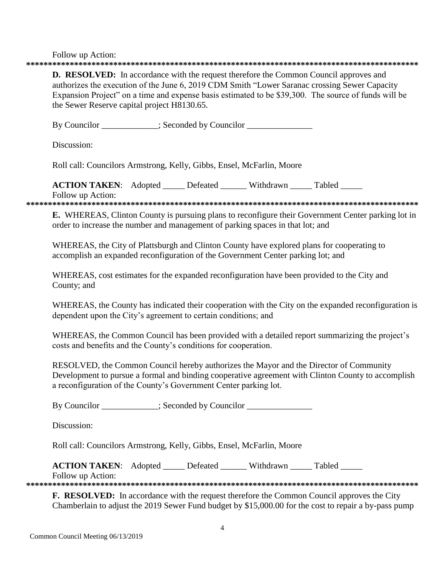Follow up Action:

# **D. RESOLVED:** In accordance with the request therefore the Common Council approves and authorizes the execution of the June 6, 2019 CDM Smith "Lower Saranac crossing Sewer Capacity Expansion Project" on a time and expense basis estimated to be \$39,300. The source of funds will be the Sewer Reserve capital project H8130.65. By Councilor : Seconded by Councilor Discussion: Roll call: Councilors Armstrong, Kelly, Gibbs, Ensel, McFarlin, Moore **ACTION TAKEN:** Adopted Defeated Withdrawn Tabled Follow up Action: E. WHEREAS, Clinton County is pursuing plans to reconfigure their Government Center parking lot in order to increase the number and management of parking spaces in that lot; and WHEREAS, the City of Plattsburgh and Clinton County have explored plans for cooperating to accomplish an expanded reconfiguration of the Government Center parking lot; and WHEREAS, cost estimates for the expanded reconfiguration have been provided to the City and County; and WHEREAS, the County has indicated their cooperation with the City on the expanded reconfiguration is dependent upon the City's agreement to certain conditions; and WHEREAS, the Common Council has been provided with a detailed report summarizing the project's costs and benefits and the County's conditions for cooperation. RESOLVED, the Common Council hereby authorizes the Mayor and the Director of Community Development to pursue a formal and binding cooperative agreement with Clinton County to accomplish a reconfiguration of the County's Government Center parking lot. By Councilor \_\_\_\_\_\_\_\_\_\_; Seconded by Councilor \_\_\_\_\_\_\_\_\_\_\_\_\_\_ Discussion: Roll call: Councilors Armstrong, Kelly, Gibbs, Ensel, McFarlin, Moore **ACTION TAKEN:** Adopted \_\_\_\_\_ Defeated \_\_\_\_\_\_ Withdrawn Tabled Follow up Action: **F. RESOLVED:** In accordance with the request therefore the Common Council approves the City

Chamberlain to adjust the 2019 Sewer Fund budget by \$15,000.00 for the cost to repair a by-pass pump